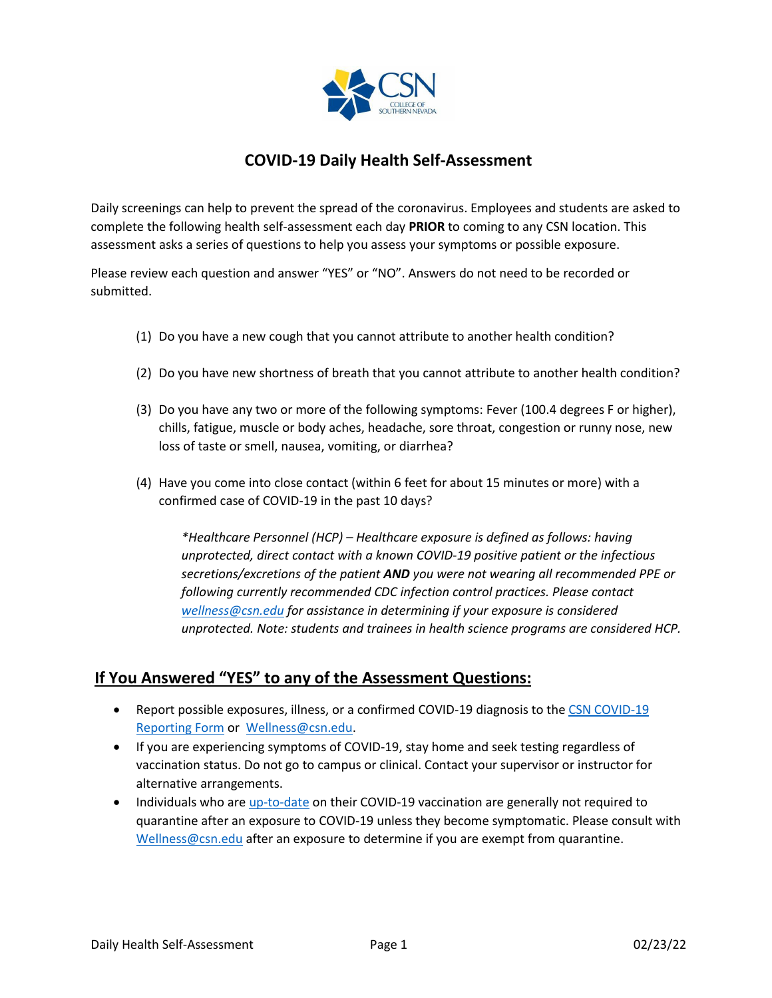

## **COVID-19 Daily Health Self-Assessment**

Daily screenings can help to prevent the spread of the coronavirus. Employees and students are asked to complete the following health self-assessment each day **PRIOR** to coming to any CSN location. This assessment asks a series of questions to help you assess your symptoms or possible exposure.

Please review each question and answer "YES" or "NO". Answers do not need to be recorded or submitted.

- (1) Do you have a new cough that you cannot attribute to another health condition?
- (2) Do you have new shortness of breath that you cannot attribute to another health condition?
- (3) Do you have any two or more of the following symptoms: Fever (100.4 degrees F or higher), chills, fatigue, muscle or body aches, headache, sore throat, congestion or runny nose, new loss of taste or smell, nausea, vomiting, or diarrhea?
- (4) Have you come into close contact (within 6 feet for about 15 minutes or more) with a confirmed case of COVID-19 in the past 10 days?

*\*Healthcare Personnel (HCP) – Healthcare exposure is defined as follows: having unprotected, direct contact with a known COVID-19 positive patient or the infectious secretions/excretions of the patient AND you were not wearing all recommended PPE or following currently recommended CDC infection control practices. Please contact [wellness@csn.edu](mailto:wellness@csn.edu) for assistance in determining if your exposure is considered unprotected. Note: students and trainees in health science programs are considered HCP.* 

## **If You Answered "YES" to any of the Assessment Questions:**

- Report possible exposures, illness, or a confirmed COVID-19 diagnosis to the CSN COVID-19 [Reporting Form](mailto:CSN%20COVID-19%20Reporting%20Form) or [Wellness@csn.edu.](mailto:Wellness@csn.edu)
- If you are experiencing symptoms of COVID-19, stay home and seek testing regardless of vaccination status. Do not go to campus or clinical. Contact your supervisor or instructor for alternative arrangements.
- Individuals who ar[e up-to-date](https://www.cdc.gov/coronavirus/2019-ncov/vaccines/stay-up-to-date.html) on their COVID-19 vaccination are generally not required to quarantine after an exposure to COVID-19 unless they become symptomatic. Please consult with [Wellness@csn.edu](mailto:Wellness@csn.edu) after an exposure to determine if you are exempt from quarantine.